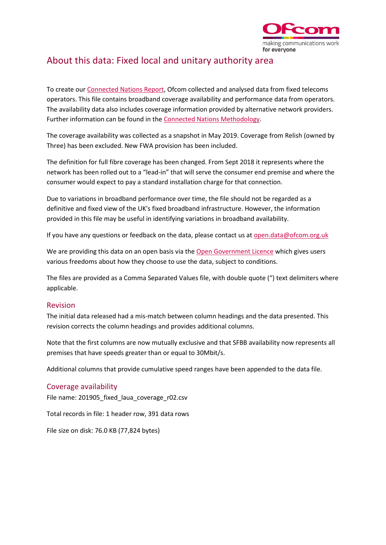

## About this data: Fixed local and unitary authority area

To create ou[r Connected Nations Report,](https://www.ofcom.org.uk/research-and-data/multi-sector-research/infrastructure-research/connected-nations-update-summer-2019) Ofcom collected and analysed data from fixed telecoms operators. This file contains broadband coverage availability and performance data from operators. The availability data also includes coverage information provided by alternative network providers. Further information can be found in th[e Connected Nations Methodology.](https://www.ofcom.org.uk/research-and-data/multi-sector-research/infrastructure-research/connected-nations-2018/methodology)

The coverage availability was collected as a snapshot in May 2019. Coverage from Relish (owned by Three) has been excluded. New FWA provision has been included.

The definition for full fibre coverage has been changed. From Sept 2018 it represents where the network has been rolled out to a "lead-in" that will serve the consumer end premise and where the consumer would expect to pay a standard installation charge for that connection.

Due to variations in broadband performance over time, the file should not be regarded as a definitive and fixed view of the UK's fixed broadband infrastructure. However, the information provided in this file may be useful in identifying variations in broadband availability.

If you have any questions or feedback on the data, please contact us a[t open.data@ofcom.org.uk](mailto:open.data@ofcom.org.uk)

We are providing this data on an open basis via the [Open Government Licence](https://www.nationalarchives.gov.uk/doc/open-government-licence/version/3/) which gives users various freedoms about how they choose to use the data, subject to conditions.

The files are provided as a Comma Separated Values file, with double quote (") text delimiters where applicable.

## Revision

The initial data released had a mis-match between column headings and the data presented. This revision corrects the column headings and provides additional columns.

Note that the first columns are now mutually exclusive and that SFBB availability now represents all premises that have speeds greater than or equal to 30Mbit/s.

Additional columns that provide cumulative speed ranges have been appended to the data file.

## Coverage availability

File name: 201905\_fixed\_laua\_coverage\_r02.csv

Total records in file: 1 header row, 391 data rows

File size on disk: 76.0 KB (77,824 bytes)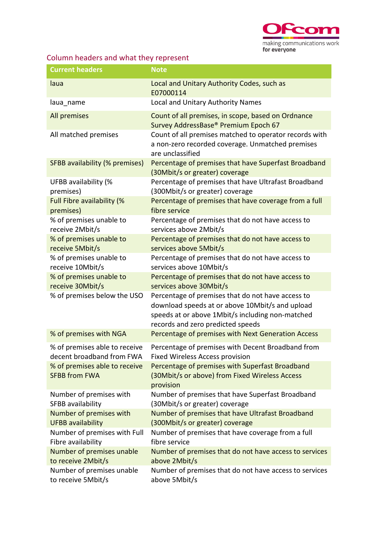

## Column headers and what they represent

| <b>Current headers</b>                                | <b>Note</b>                                                                                                                                                                                   |
|-------------------------------------------------------|-----------------------------------------------------------------------------------------------------------------------------------------------------------------------------------------------|
| laua                                                  | Local and Unitary Authority Codes, such as<br>E07000114                                                                                                                                       |
| laua_name                                             | Local and Unitary Authority Names                                                                                                                                                             |
| All premises                                          | Count of all premises, in scope, based on Ordnance<br>Survey AddressBase® Premium Epoch 67                                                                                                    |
| All matched premises                                  | Count of all premises matched to operator records with<br>a non-zero recorded coverage. Unmatched premises<br>are unclassified                                                                |
| SFBB availability (% premises)                        | Percentage of premises that have Superfast Broadband<br>(30Mbit/s or greater) coverage                                                                                                        |
| UFBB availability (%                                  | Percentage of premises that have Ultrafast Broadband                                                                                                                                          |
| premises)                                             | (300Mbit/s or greater) coverage                                                                                                                                                               |
| Full Fibre availability (%                            | Percentage of premises that have coverage from a full                                                                                                                                         |
| premises)                                             | fibre service                                                                                                                                                                                 |
| % of premises unable to                               | Percentage of premises that do not have access to                                                                                                                                             |
| receive 2Mbit/s                                       | services above 2Mbit/s                                                                                                                                                                        |
| % of premises unable to                               | Percentage of premises that do not have access to                                                                                                                                             |
| receive 5Mbit/s                                       | services above 5Mbit/s                                                                                                                                                                        |
| % of premises unable to                               | Percentage of premises that do not have access to                                                                                                                                             |
| receive 10Mbit/s                                      | services above 10Mbit/s                                                                                                                                                                       |
| % of premises unable to                               | Percentage of premises that do not have access to                                                                                                                                             |
| receive 30Mbit/s                                      | services above 30Mbit/s                                                                                                                                                                       |
| % of premises below the USO                           | Percentage of premises that do not have access to<br>download speeds at or above 10Mbit/s and upload<br>speeds at or above 1Mbit/s including non-matched<br>records and zero predicted speeds |
| % of premises with NGA                                | Percentage of premises with Next Generation Access                                                                                                                                            |
| % of premises able to receive                         | Percentage of premises with Decent Broadband from                                                                                                                                             |
| decent broadband from FWA                             | <b>Fixed Wireless Access provision</b>                                                                                                                                                        |
| % of premises able to receive<br><b>SFBB from FWA</b> | Percentage of premises with Superfast Broadband<br>(30Mbit/s or above) from Fixed Wireless Access<br>provision                                                                                |
| Number of premises with                               | Number of premises that have Superfast Broadband                                                                                                                                              |
| SFBB availability                                     | (30Mbit/s or greater) coverage                                                                                                                                                                |
| Number of premises with                               | Number of premises that have Ultrafast Broadband                                                                                                                                              |
| <b>UFBB</b> availability                              | (300Mbit/s or greater) coverage                                                                                                                                                               |
| Number of premises with Full                          | Number of premises that have coverage from a full                                                                                                                                             |
| Fibre availability                                    | fibre service                                                                                                                                                                                 |
| Number of premises unable                             | Number of premises that do not have access to services                                                                                                                                        |
| to receive 2Mbit/s                                    | above 2Mbit/s                                                                                                                                                                                 |
| Number of premises unable                             | Number of premises that do not have access to services                                                                                                                                        |
| to receive 5Mbit/s                                    | above 5Mbit/s                                                                                                                                                                                 |